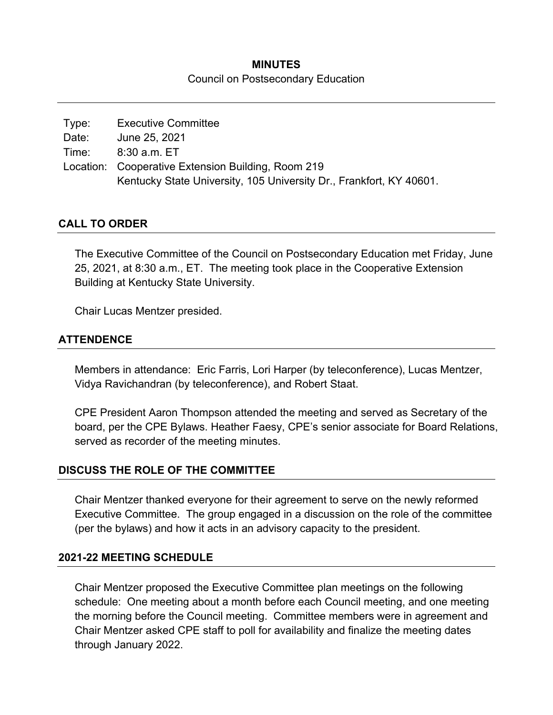## **MINUTES**  Council on Postsecondary Education

| Type: | <b>Executive Committee</b>                                          |
|-------|---------------------------------------------------------------------|
| Date: | June 25, 2021                                                       |
| Time: | $8:30$ a.m. $ET$                                                    |
|       | Location: Cooperative Extension Building, Room 219                  |
|       | Kentucky State University, 105 University Dr., Frankfort, KY 40601. |

## **CALL TO ORDER**

The Executive Committee of the Council on Postsecondary Education met Friday, June 25, 2021, at 8:30 a.m., ET. The meeting took place in the Cooperative Extension Building at Kentucky State University.

Chair Lucas Mentzer presided.

## **ATTENDENCE**

Members in attendance: Eric Farris, Lori Harper (by teleconference), Lucas Mentzer, Vidya Ravichandran (by teleconference), and Robert Staat.

CPE President Aaron Thompson attended the meeting and served as Secretary of the board, per the CPE Bylaws. Heather Faesy, CPE's senior associate for Board Relations, served as recorder of the meeting minutes.

#### **DISCUSS THE ROLE OF THE COMMITTEE**

Chair Mentzer thanked everyone for their agreement to serve on the newly reformed Executive Committee. The group engaged in a discussion on the role of the committee (per the bylaws) and how it acts in an advisory capacity to the president.

#### **2021-22 MEETING SCHEDULE**

Chair Mentzer proposed the Executive Committee plan meetings on the following schedule: One meeting about a month before each Council meeting, and one meeting the morning before the Council meeting. Committee members were in agreement and Chair Mentzer asked CPE staff to poll for availability and finalize the meeting dates through January 2022.